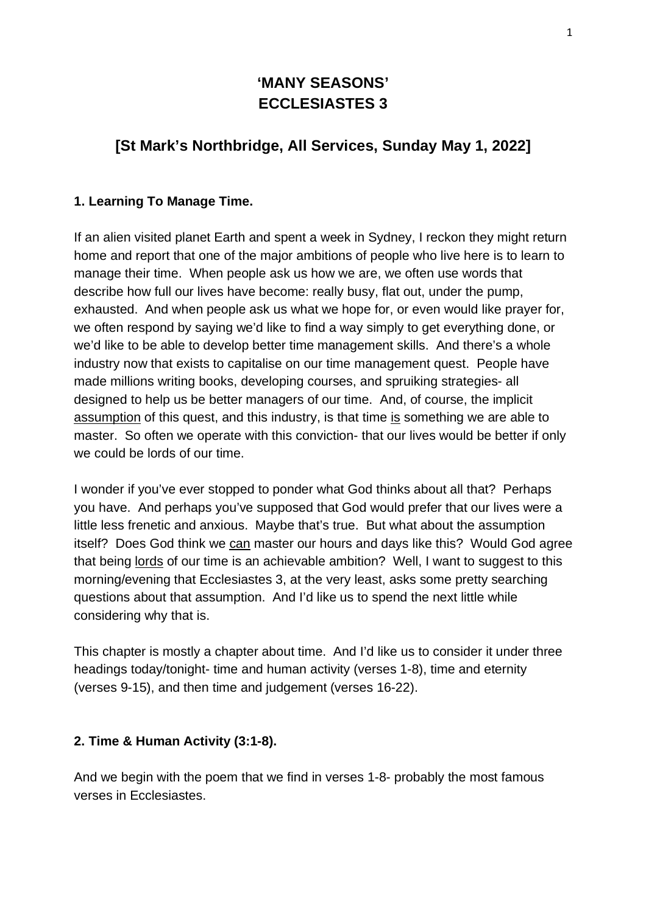# **'MANY SEASONS' ECCLESIASTES 3**

# **[St Mark's Northbridge, All Services, Sunday May 1, 2022]**

#### **1. Learning To Manage Time.**

If an alien visited planet Earth and spent a week in Sydney, I reckon they might return home and report that one of the major ambitions of people who live here is to learn to manage their time. When people ask us how we are, we often use words that describe how full our lives have become: really busy, flat out, under the pump, exhausted. And when people ask us what we hope for, or even would like prayer for, we often respond by saying we'd like to find a way simply to get everything done, or we'd like to be able to develop better time management skills. And there's a whole industry now that exists to capitalise on our time management quest. People have made millions writing books, developing courses, and spruiking strategies- all designed to help us be better managers of our time. And, of course, the implicit assumption of this quest, and this industry, is that time is something we are able to master. So often we operate with this conviction- that our lives would be better if only we could be lords of our time.

I wonder if you've ever stopped to ponder what God thinks about all that? Perhaps you have. And perhaps you've supposed that God would prefer that our lives were a little less frenetic and anxious. Maybe that's true. But what about the assumption itself? Does God think we can master our hours and days like this? Would God agree that being lords of our time is an achievable ambition? Well, I want to suggest to this morning/evening that Ecclesiastes 3, at the very least, asks some pretty searching questions about that assumption. And I'd like us to spend the next little while considering why that is.

This chapter is mostly a chapter about time. And I'd like us to consider it under three headings today/tonight- time and human activity (verses 1-8), time and eternity (verses 9-15), and then time and judgement (verses 16-22).

### **2. Time & Human Activity (3:1-8).**

And we begin with the poem that we find in verses 1-8- probably the most famous verses in Ecclesiastes.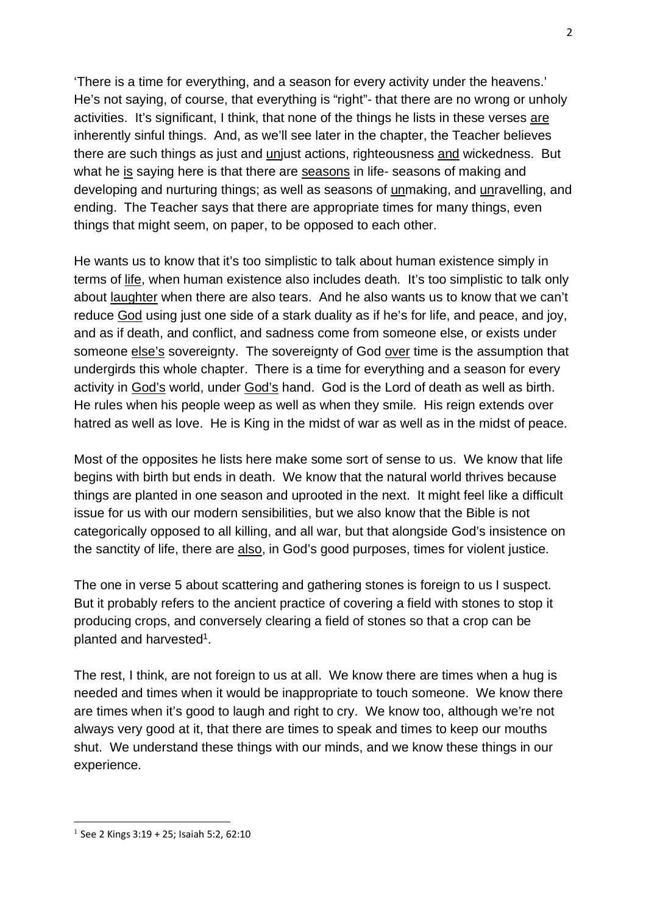'There is a time for everything, and a season for every activity under the heavens.' He's not saying, of course, that everything is "right"- that there are no wrong or unholy activities. It's significant, I think, that none of the things he lists in these verses are inherently sinful things. And, as we'll see later in the chapter, the Teacher believes there are such things as just and unjust actions, righteousness and wickedness. But what he is saying here is that there are seasons in life- seasons of making and developing and nurturing things; as well as seasons of unmaking, and unravelling, and ending. The Teacher says that there are appropriate times for many things, even things that might seem, on paper, to be opposed to each other.

He wants us to know that it's too simplistic to talk about human existence simply in terms of life, when human existence also includes death. It's too simplistic to talk only about laughter when there are also tears. And he also wants us to know that we can't reduce God using just one side of a stark duality as if he's for life, and peace, and joy, and as if death, and conflict, and sadness come from someone else, or exists under someone else's sovereignty. The sovereignty of God over time is the assumption that undergirds this whole chapter. There is a time for everything and a season for every activity in God's world, under God's hand. God is the Lord of death as well as birth. He rules when his people weep as well as when they smile. His reign extends over hatred as well as love. He is King in the midst of war as well as in the midst of peace.

Most of the opposites he lists here make some sort of sense to us. We know that life begins with birth but ends in death. We know that the natural world thrives because things are planted in one season and uprooted in the next. It might feel like a difficult issue for us with our modern sensibilities, but we also know that the Bible is not categorically opposed to all killing, and all war, but that alongside God's insistence on the sanctity of life, there are also, in God's good purposes, times for violent justice.

The one in verse 5 about scattering and gathering stones is foreign to us I suspect. But it probably refers to the ancient practice of covering a field with stones to stop it producing crops, and conversely clearing a field of stones so that a crop can be planted and harvested1.

The rest, I think, are not foreign to us at all. We know there are times when a hug is needed and times when it would be inappropriate to touch someone. We know there are times when it's good to laugh and right to cry. We know too, although we're not always very good at it, that there are times to speak and times to keep our mouths shut. We understand these things with our minds, and we know these things in our experience.

 $1$  See 2 Kings 3:19 + 25; Isaiah 5:2, 62:10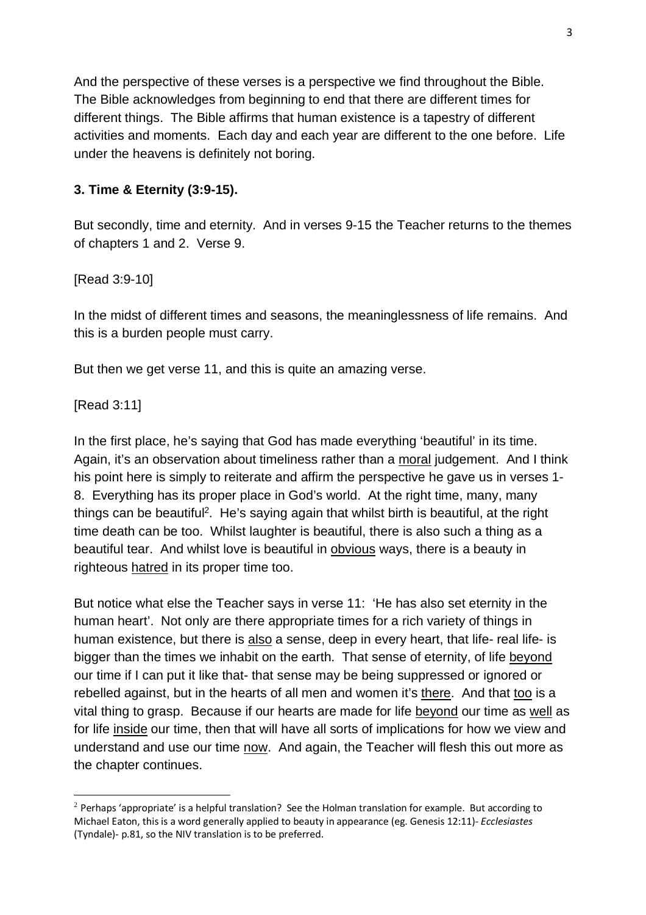And the perspective of these verses is a perspective we find throughout the Bible. The Bible acknowledges from beginning to end that there are different times for different things. The Bible affirms that human existence is a tapestry of different activities and moments. Each day and each year are different to the one before. Life under the heavens is definitely not boring.

### **3. Time & Eternity (3:9-15).**

But secondly, time and eternity. And in verses 9-15 the Teacher returns to the themes of chapters 1 and 2. Verse 9.

### [Read 3:9-10]

In the midst of different times and seasons, the meaninglessness of life remains. And this is a burden people must carry.

But then we get verse 11, and this is quite an amazing verse.

[Read 3:11]

In the first place, he's saying that God has made everything 'beautiful' in its time. Again, it's an observation about timeliness rather than a moral judgement. And I think his point here is simply to reiterate and affirm the perspective he gave us in verses 1- 8. Everything has its proper place in God's world. At the right time, many, many things can be beautiful2. He's saying again that whilst birth is beautiful, at the right time death can be too. Whilst laughter is beautiful, there is also such a thing as a beautiful tear. And whilst love is beautiful in **obvious** ways, there is a beauty in righteous hatred in its proper time too.

But notice what else the Teacher says in verse 11: 'He has also set eternity in the human heart'. Not only are there appropriate times for a rich variety of things in human existence, but there is also a sense, deep in every heart, that life- real life- is bigger than the times we inhabit on the earth. That sense of eternity, of life beyond our time if I can put it like that- that sense may be being suppressed or ignored or rebelled against, but in the hearts of all men and women it's there. And that too is a vital thing to grasp. Because if our hearts are made for life beyond our time as well as for life inside our time, then that will have all sorts of implications for how we view and understand and use our time now. And again, the Teacher will flesh this out more as the chapter continues.

 $2$  Perhaps 'appropriate' is a helpful translation? See the Holman translation for example. But according to Michael Eaton, this is a word generally applied to beauty in appearance (eg. Genesis 12:11)- *Ecclesiastes* (Tyndale)- p.81, so the NIV translation is to be preferred.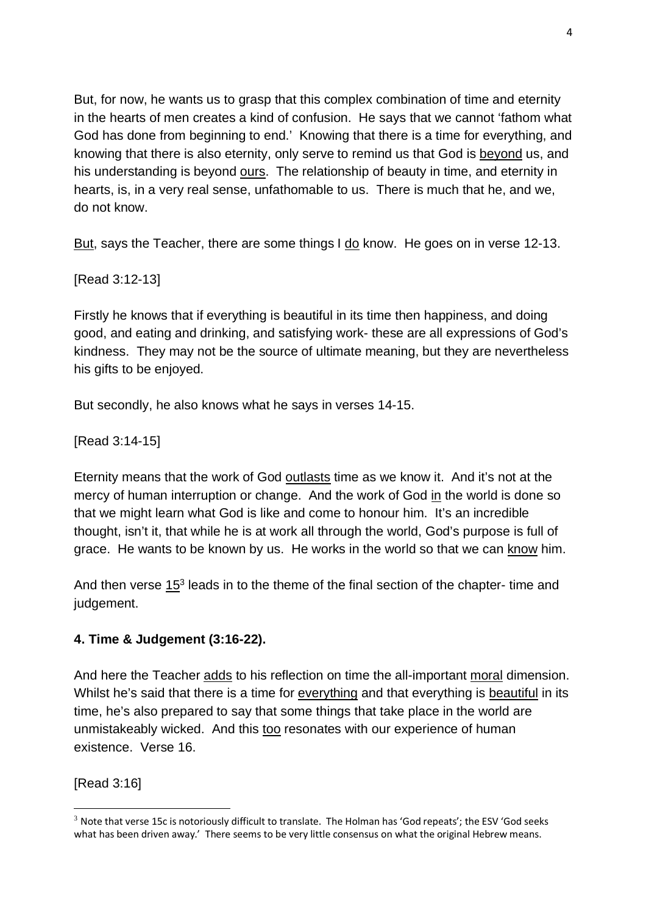But, for now, he wants us to grasp that this complex combination of time and eternity in the hearts of men creates a kind of confusion. He says that we cannot 'fathom what God has done from beginning to end.' Knowing that there is a time for everything, and knowing that there is also eternity, only serve to remind us that God is beyond us, and his understanding is beyond ours. The relationship of beauty in time, and eternity in hearts, is, in a very real sense, unfathomable to us. There is much that he, and we, do not know.

But, says the Teacher, there are some things I do know. He goes on in verse 12-13.

[Read 3:12-13]

Firstly he knows that if everything is beautiful in its time then happiness, and doing good, and eating and drinking, and satisfying work- these are all expressions of God's kindness. They may not be the source of ultimate meaning, but they are nevertheless his gifts to be enjoyed.

But secondly, he also knows what he says in verses 14-15.

[Read 3:14-15]

Eternity means that the work of God outlasts time as we know it. And it's not at the mercy of human interruption or change. And the work of God in the world is done so that we might learn what God is like and come to honour him. It's an incredible thought, isn't it, that while he is at work all through the world, God's purpose is full of grace. He wants to be known by us. He works in the world so that we can know him.

And then verse 15<sup>3</sup> leads in to the theme of the final section of the chapter- time and judgement.

## **4. Time & Judgement (3:16-22).**

And here the Teacher adds to his reflection on time the all-important moral dimension. Whilst he's said that there is a time for everything and that everything is beautiful in its time, he's also prepared to say that some things that take place in the world are unmistakeably wicked. And this too resonates with our experience of human existence. Verse 16.

[Read 3:16]

 $3$  Note that verse 15c is notoriously difficult to translate. The Holman has 'God repeats': the ESV 'God seeks what has been driven away.' There seems to be very little consensus on what the original Hebrew means.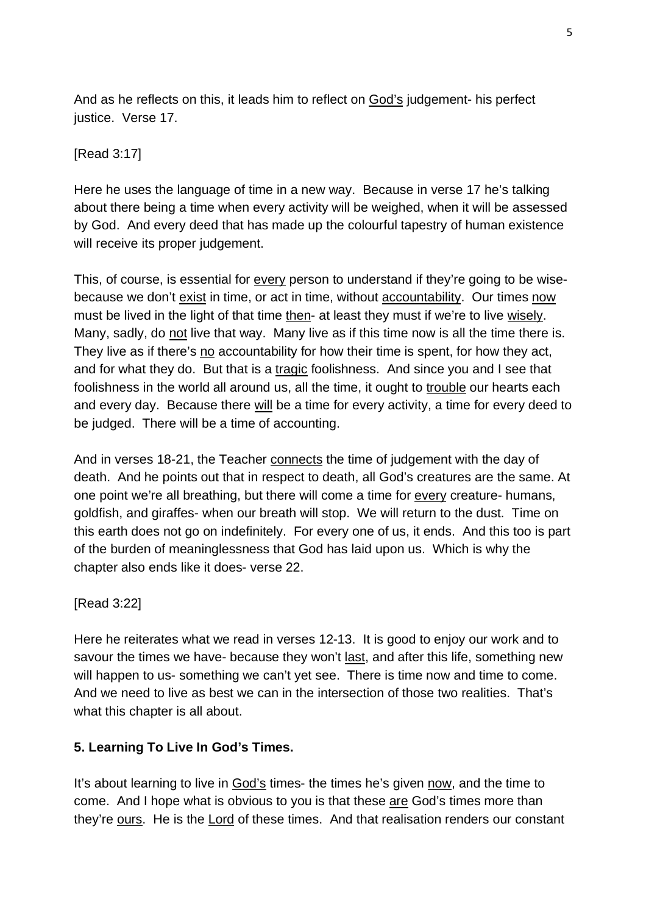And as he reflects on this, it leads him to reflect on God's judgement- his perfect justice. Verse 17.

### [Read 3:17]

Here he uses the language of time in a new way. Because in verse 17 he's talking about there being a time when every activity will be weighed, when it will be assessed by God. And every deed that has made up the colourful tapestry of human existence will receive its proper judgement.

This, of course, is essential for every person to understand if they're going to be wisebecause we don't exist in time, or act in time, without accountability. Our times now must be lived in the light of that time then- at least they must if we're to live wisely. Many, sadly, do not live that way. Many live as if this time now is all the time there is. They live as if there's no accountability for how their time is spent, for how they act, and for what they do. But that is a tragic foolishness. And since you and I see that foolishness in the world all around us, all the time, it ought to trouble our hearts each and every day. Because there will be a time for every activity, a time for every deed to be judged. There will be a time of accounting.

And in verses 18-21, the Teacher connects the time of judgement with the day of death. And he points out that in respect to death, all God's creatures are the same. At one point we're all breathing, but there will come a time for every creature- humans, goldfish, and giraffes- when our breath will stop. We will return to the dust. Time on this earth does not go on indefinitely. For every one of us, it ends. And this too is part of the burden of meaninglessness that God has laid upon us. Which is why the chapter also ends like it does- verse 22.

### [Read 3:22]

Here he reiterates what we read in verses 12-13. It is good to enjoy our work and to savour the times we have- because they won't last, and after this life, something new will happen to us- something we can't vet see. There is time now and time to come. And we need to live as best we can in the intersection of those two realities. That's what this chapter is all about.

### **5. Learning To Live In God's Times.**

It's about learning to live in God's times- the times he's given now, and the time to come. And I hope what is obvious to you is that these are God's times more than they're ours. He is the Lord of these times. And that realisation renders our constant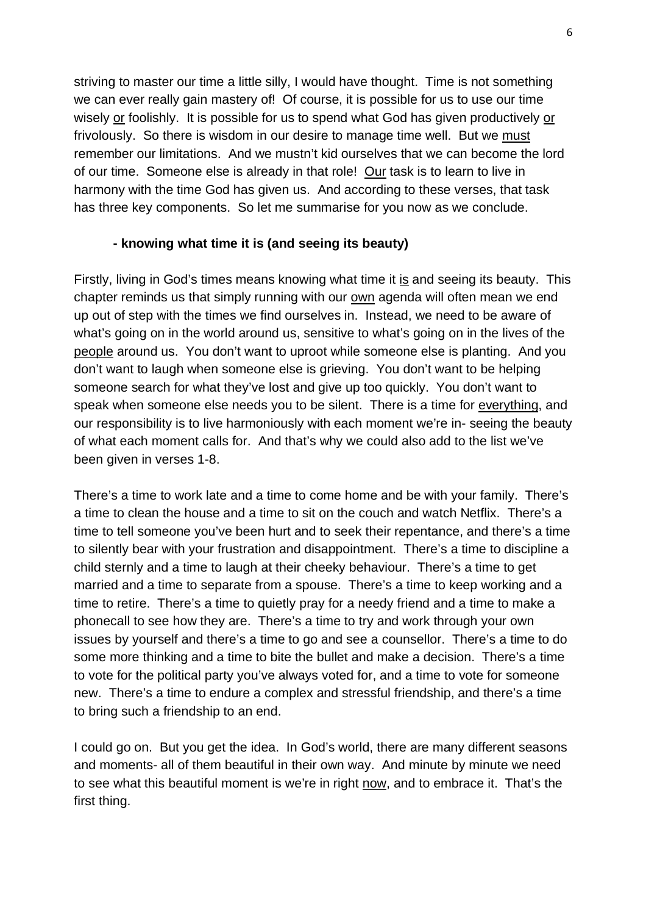striving to master our time a little silly, I would have thought. Time is not something we can ever really gain mastery of! Of course, it is possible for us to use our time wisely or foolishly. It is possible for us to spend what God has given productively or frivolously. So there is wisdom in our desire to manage time well. But we must remember our limitations. And we mustn't kid ourselves that we can become the lord of our time. Someone else is already in that role! Our task is to learn to live in harmony with the time God has given us. And according to these verses, that task has three key components. So let me summarise for you now as we conclude.

#### **- knowing what time it is (and seeing its beauty)**

Firstly, living in God's times means knowing what time it is and seeing its beauty. This chapter reminds us that simply running with our own agenda will often mean we end up out of step with the times we find ourselves in. Instead, we need to be aware of what's going on in the world around us, sensitive to what's going on in the lives of the people around us. You don't want to uproot while someone else is planting. And you don't want to laugh when someone else is grieving. You don't want to be helping someone search for what they've lost and give up too quickly. You don't want to speak when someone else needs you to be silent. There is a time for everything, and our responsibility is to live harmoniously with each moment we're in- seeing the beauty of what each moment calls for. And that's why we could also add to the list we've been given in verses 1-8.

There's a time to work late and a time to come home and be with your family. There's a time to clean the house and a time to sit on the couch and watch Netflix. There's a time to tell someone you've been hurt and to seek their repentance, and there's a time to silently bear with your frustration and disappointment. There's a time to discipline a child sternly and a time to laugh at their cheeky behaviour. There's a time to get married and a time to separate from a spouse. There's a time to keep working and a time to retire. There's a time to quietly pray for a needy friend and a time to make a phonecall to see how they are. There's a time to try and work through your own issues by yourself and there's a time to go and see a counsellor. There's a time to do some more thinking and a time to bite the bullet and make a decision. There's a time to vote for the political party you've always voted for, and a time to vote for someone new. There's a time to endure a complex and stressful friendship, and there's a time to bring such a friendship to an end.

I could go on. But you get the idea. In God's world, there are many different seasons and moments- all of them beautiful in their own way. And minute by minute we need to see what this beautiful moment is we're in right now, and to embrace it. That's the first thing.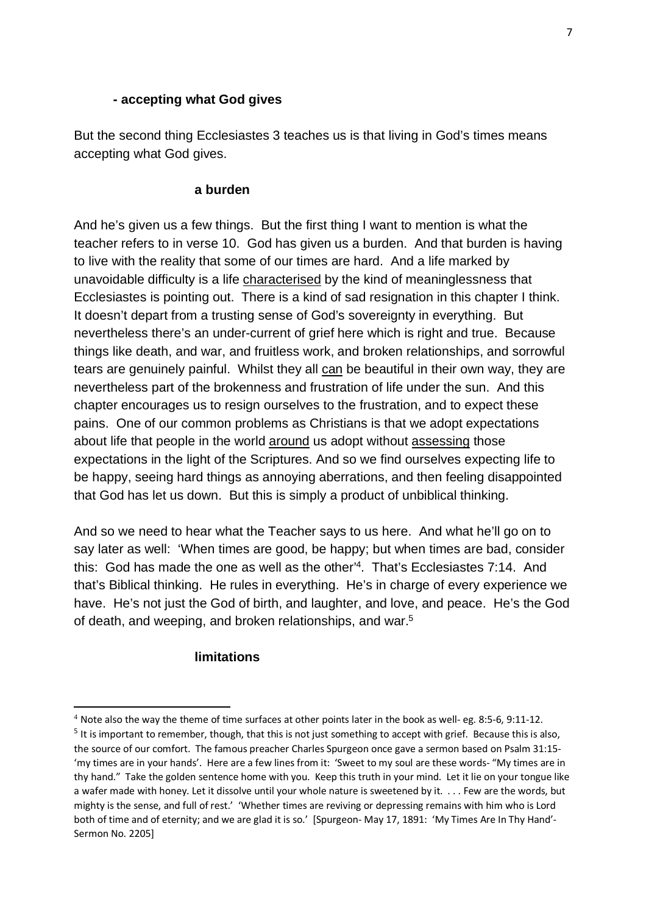#### **- accepting what God gives**

But the second thing Ecclesiastes 3 teaches us is that living in God's times means accepting what God gives.

#### **a burden**

And he's given us a few things. But the first thing I want to mention is what the teacher refers to in verse 10. God has given us a burden. And that burden is having to live with the reality that some of our times are hard. And a life marked by unavoidable difficulty is a life characterised by the kind of meaninglessness that Ecclesiastes is pointing out. There is a kind of sad resignation in this chapter I think. It doesn't depart from a trusting sense of God's sovereignty in everything. But nevertheless there's an under-current of grief here which is right and true. Because things like death, and war, and fruitless work, and broken relationships, and sorrowful tears are genuinely painful. Whilst they all can be beautiful in their own way, they are nevertheless part of the brokenness and frustration of life under the sun. And this chapter encourages us to resign ourselves to the frustration, and to expect these pains. One of our common problems as Christians is that we adopt expectations about life that people in the world around us adopt without assessing those expectations in the light of the Scriptures. And so we find ourselves expecting life to be happy, seeing hard things as annoying aberrations, and then feeling disappointed that God has let us down. But this is simply a product of unbiblical thinking.

And so we need to hear what the Teacher says to us here. And what he'll go on to say later as well: 'When times are good, be happy; but when times are bad, consider this: God has made the one as well as the other<sup>14</sup>. That's Ecclesiastes 7:14. And that's Biblical thinking. He rules in everything. He's in charge of every experience we have. He's not just the God of birth, and laughter, and love, and peace. He's the God of death, and weeping, and broken relationships, and war.5

#### **limitations**

<sup>4</sup> Note also the way the theme of time surfaces at other points later in the book as well- eg. 8:5-6, 9:11-12.  $<sup>5</sup>$  It is important to remember, though, that this is not just something to accept with grief. Because this is also,</sup> the source of our comfort. The famous preacher Charles Spurgeon once gave a sermon based on Psalm 31:15- 'my times are in your hands'. Here are a few lines from it: 'Sweet to my soul are these words- "My times are in thy hand." Take the golden sentence home with you. Keep this truth in your mind. Let it lie on your tongue like a wafer made with honey. Let it dissolve until your whole nature is sweetened by it. . . . Few are the words, but mighty is the sense, and full of rest.' 'Whether times are reviving or depressing remains with him who is Lord both of time and of eternity; and we are glad it is so.' [Spurgeon- May 17, 1891: 'My Times Are In Thy Hand'- Sermon No. 2205]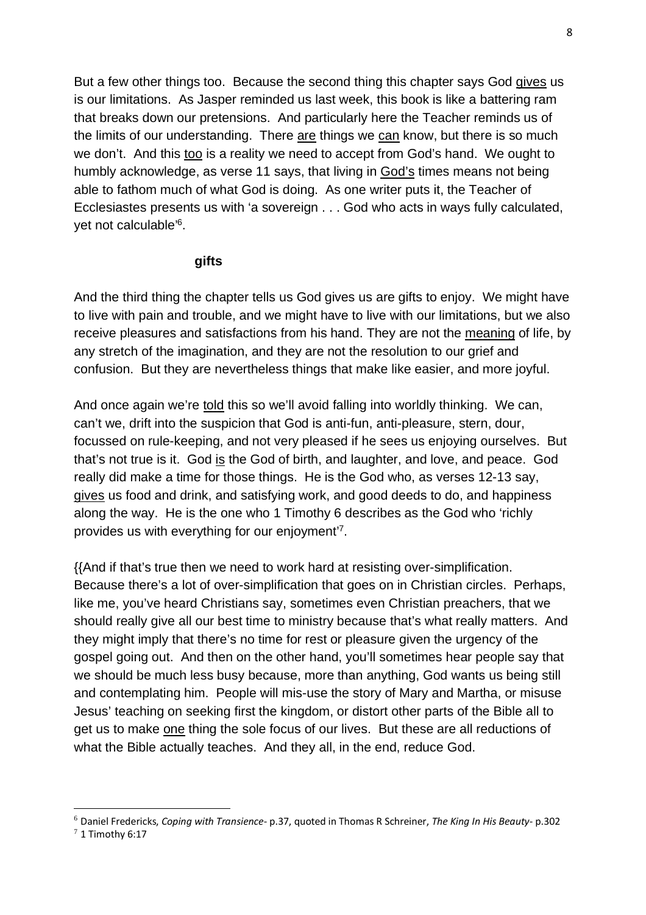But a few other things too. Because the second thing this chapter says God gives us is our limitations. As Jasper reminded us last week, this book is like a battering ram that breaks down our pretensions. And particularly here the Teacher reminds us of the limits of our understanding. There are things we can know, but there is so much we don't. And this too is a reality we need to accept from God's hand. We ought to humbly acknowledge, as verse 11 says, that living in God's times means not being able to fathom much of what God is doing. As one writer puts it, the Teacher of Ecclesiastes presents us with 'a sovereign . . . God who acts in ways fully calculated, yet not calculable'6.

#### **gifts**

And the third thing the chapter tells us God gives us are gifts to enjoy. We might have to live with pain and trouble, and we might have to live with our limitations, but we also receive pleasures and satisfactions from his hand. They are not the meaning of life, by any stretch of the imagination, and they are not the resolution to our grief and confusion. But they are nevertheless things that make like easier, and more joyful.

And once again we're told this so we'll avoid falling into worldly thinking. We can, can't we, drift into the suspicion that God is anti-fun, anti-pleasure, stern, dour, focussed on rule-keeping, and not very pleased if he sees us enjoying ourselves. But that's not true is it. God is the God of birth, and laughter, and love, and peace. God really did make a time for those things. He is the God who, as verses 12-13 say, gives us food and drink, and satisfying work, and good deeds to do, and happiness along the way. He is the one who 1 Timothy 6 describes as the God who 'richly provides us with everything for our enjoyment'7.

{{And if that's true then we need to work hard at resisting over-simplification. Because there's a lot of over-simplification that goes on in Christian circles. Perhaps, like me, you've heard Christians say, sometimes even Christian preachers, that we should really give all our best time to ministry because that's what really matters. And they might imply that there's no time for rest or pleasure given the urgency of the gospel going out. And then on the other hand, you'll sometimes hear people say that we should be much less busy because, more than anything, God wants us being still and contemplating him. People will mis-use the story of Mary and Martha, or misuse Jesus' teaching on seeking first the kingdom, or distort other parts of the Bible all to get us to make one thing the sole focus of our lives. But these are all reductions of what the Bible actually teaches. And they all, in the end, reduce God.

<sup>6</sup> Daniel Fredericks, *Coping with Transience*- p.37, quoted in Thomas R Schreiner, *The King In His Beauty*- p.302

 $7$  1 Timothy 6:17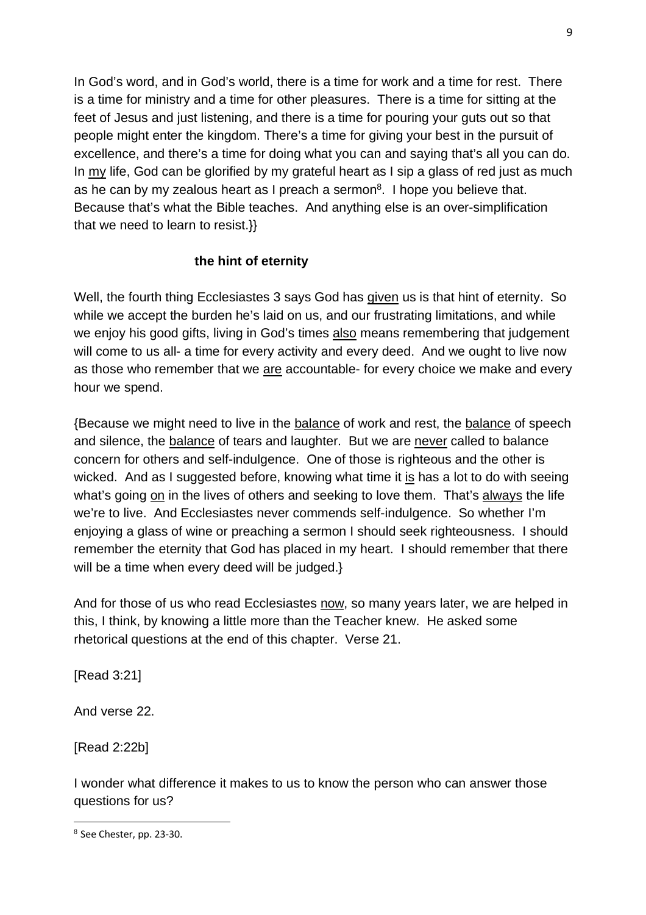In God's word, and in God's world, there is a time for work and a time for rest. There is a time for ministry and a time for other pleasures. There is a time for sitting at the feet of Jesus and just listening, and there is a time for pouring your guts out so that people might enter the kingdom. There's a time for giving your best in the pursuit of excellence, and there's a time for doing what you can and saying that's all you can do. In my life, God can be glorified by my grateful heart as I sip a glass of red just as much as he can by my zealous heart as I preach a sermon<sup>8</sup>. I hope you believe that. Because that's what the Bible teaches. And anything else is an over-simplification that we need to learn to resist.}}

## **the hint of eternity**

Well, the fourth thing Ecclesiastes 3 says God has given us is that hint of eternity. So while we accept the burden he's laid on us, and our frustrating limitations, and while we enjoy his good gifts, living in God's times also means remembering that judgement will come to us all- a time for every activity and every deed. And we ought to live now as those who remember that we are accountable- for every choice we make and every hour we spend.

{Because we might need to live in the balance of work and rest, the balance of speech and silence, the balance of tears and laughter. But we are never called to balance concern for others and self-indulgence. One of those is righteous and the other is wicked. And as I suggested before, knowing what time it is has a lot to do with seeing what's going on in the lives of others and seeking to love them. That's always the life we're to live. And Ecclesiastes never commends self-indulgence. So whether I'm enjoying a glass of wine or preaching a sermon I should seek righteousness. I should remember the eternity that God has placed in my heart. I should remember that there will be a time when every deed will be judged.}

And for those of us who read Ecclesiastes now, so many years later, we are helped in this, I think, by knowing a little more than the Teacher knew. He asked some rhetorical questions at the end of this chapter. Verse 21.

[Read 3:21]

And verse 22.

[Read 2:22b]

I wonder what difference it makes to us to know the person who can answer those questions for us?

<sup>8</sup> See Chester, pp. 23-30.